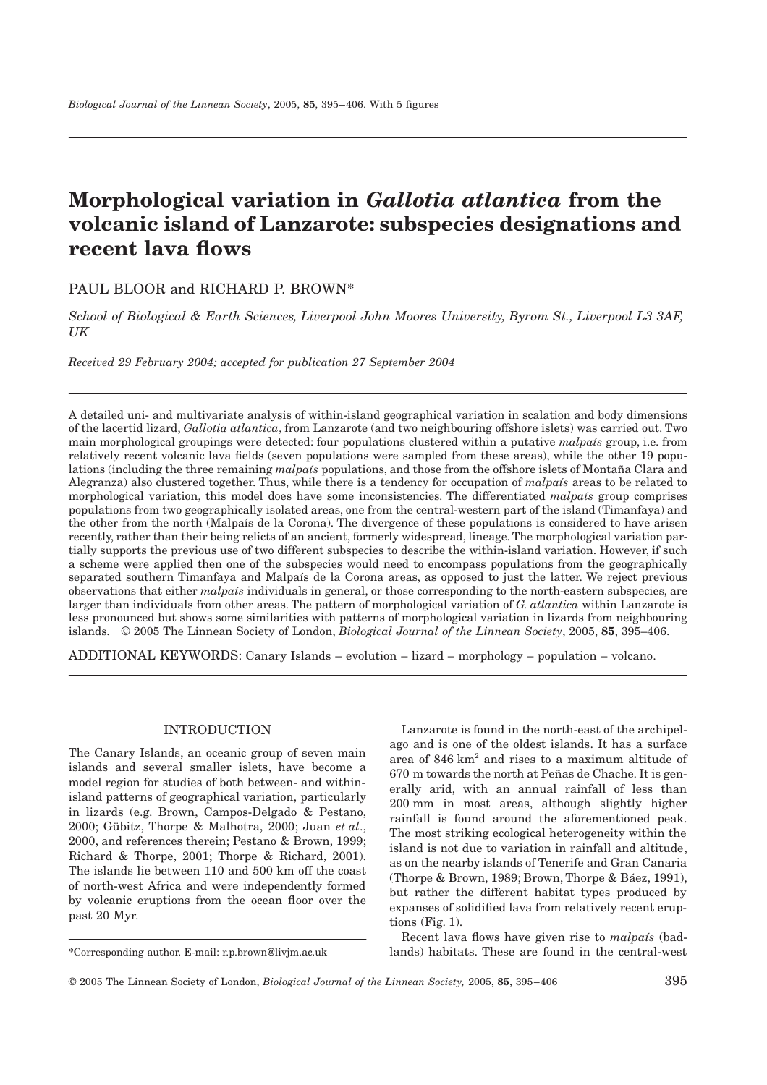# **Morphological variation in** *Gallotia atlantica* **from the volcanic island of Lanzarote: subspecies designations and recent lava flows**

# PAUL BLOOR and RICHARD P. BROWN\*

*School of Biological & Earth Sciences, Liverpool John Moores University, Byrom St., Liverpool L3 3AF, UK*

*Received 29 February 2004; accepted for publication 27 September 2004*

A detailed uni- and multivariate analysis of within-island geographical variation in scalation and body dimensions of the lacertid lizard, *Gallotia atlantica*, from Lanzarote (and two neighbouring offshore islets) was carried out. Two main morphological groupings were detected: four populations clustered within a putative *malpaís* group, i.e. from relatively recent volcanic lava fields (seven populations were sampled from these areas), while the other 19 populations (including the three remaining *malpaís* populations, and those from the offshore islets of Montaña Clara and Alegranza) also clustered together. Thus, while there is a tendency for occupation of *malpaís* areas to be related to morphological variation, this model does have some inconsistencies. The differentiated *malpaís* group comprises populations from two geographically isolated areas, one from the central-western part of the island (Timanfaya) and the other from the north (Malpaís de la Corona). The divergence of these populations is considered to have arisen recently, rather than their being relicts of an ancient, formerly widespread, lineage. The morphological variation partially supports the previous use of two different subspecies to describe the within-island variation. However, if such a scheme were applied then one of the subspecies would need to encompass populations from the geographically separated southern Timanfaya and Malpaís de la Corona areas, as opposed to just the latter. We reject previous observations that either *malpaís* individuals in general, or those corresponding to the north-eastern subspecies, are larger than individuals from other areas. The pattern of morphological variation of *G. atlantica* within Lanzarote is less pronounced but shows some similarities with patterns of morphological variation in lizards from neighbouring islands. © 2005 The Linnean Society of London, *Biological Journal of the Linnean Society*, 2005, **85**, 395–406.

ADDITIONAL KEYWORDS: Canary Islands – evolution – lizard – morphology – population – volcano.

# INTRODUCTION

 $\mathbf{P}$ The Canary Islands, an oceanic group of seven main islands and several smaller islets, have become a model region for studies of both between- and withinisland patterns of geographical variation, particularly in lizards (e.g. Brown, Campos-Delgado & Pestano, 2000; Gübitz, Thorpe & Malhotra, 2000; Juan *et al*., 2000, and references therein; Pestano & Brown, 1999; Richard & Thorpe, 2001; Thorpe & Richard, 2001). The islands lie between 110 and 500 km off the coast of north-west Africa and were independently formed by volcanic eruptions from the ocean floor over the past 20 Myr.

Lanzarote is found in the north-east of the archipelago and is one of the oldest islands. It has a surface area of 846 km<sup>2</sup> and rises to a maximum altitude of 670 m towards the north at Peñas de Chache. It is generally arid, with an annual rainfall of less than 200 mm in most areas, although slightly higher rainfall is found around the aforementioned peak. The most striking ecological heterogeneity within the island is not due to variation in rainfall and altitude, as on the nearby islands of Tenerife and Gran Canaria (Thorpe & Brown, 1989; Brown, Thorpe & Báez, 1991), but rather the different habitat types produced by expanses of solidified lava from relatively recent eruptions (Fig. 1).

Recent lava flows have given rise to *malpaís* (badlands) habitats. These are found in the central-west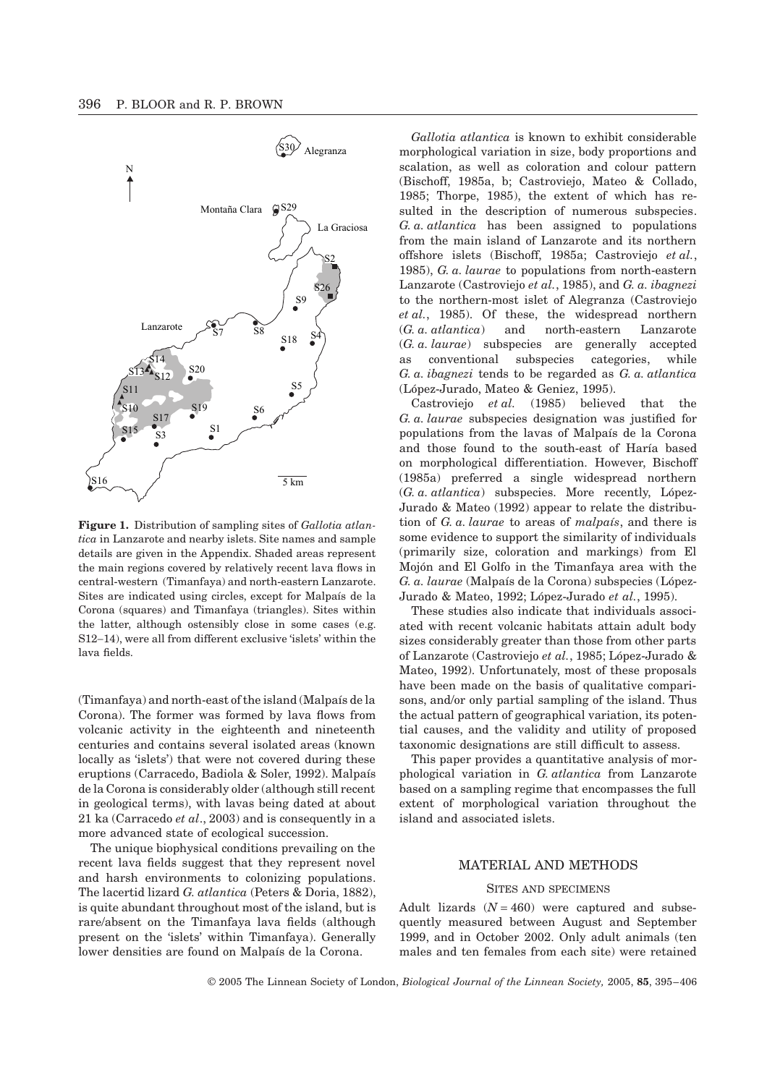

**Figure 1.** Distribution of sampling sites of *Gallotia atlantica* in Lanzarote and nearby islets. Site names and sample details are given in the Appendix. Shaded areas represent the main regions covered by relatively recent lava flows in central-western (Timanfaya) and north-eastern Lanzarote. Sites are indicated using circles, except for Malpaís de la Corona (squares) and Timanfaya (triangles). Sites within the latter, although ostensibly close in some cases (e.g. S12-14), were all from different exclusive 'islets' within the lava fields.

(Timanfaya) and north-east of the island (Malpaís de la Corona). The former was formed by lava flows from volcanic activity in the eighteenth and nineteenth centuries and contains several isolated areas (known locally as 'islets') that were not covered during these eruptions (Carracedo, Badiola & Soler, 1992). Malpaís de la Corona is considerably older (although still recent in geological terms), with lavas being dated at about 21 ka (Carracedo *et al*., 2003) and is consequently in a more advanced state of ecological succession.

The unique biophysical conditions prevailing on the recent lava fields suggest that they represent novel and harsh environments to colonizing populations. The lacertid lizard *G. atlantica* (Peters & Doria, 1882), is quite abundant throughout most of the island, but is rare/absent on the Timanfaya lava fields (although present on the 'islets' within Timanfaya). Generally lower densities are found on Malpaís de la Corona.

*Gallotia atlantica* is known to exhibit considerable morphological variation in size, body proportions and scalation, as well as coloration and colour pattern (Bischoff, 1985a, b; Castroviejo, Mateo & Collado, 1985; Thorpe, 1985), the extent of which has resulted in the description of numerous subspecies. *G. a. atlantica* has been assigned to populations from the main island of Lanzarote and its northern offshore islets (Bischoff, 1985a; Castroviejo *et al.*, 1985), *G. a. laurae* to populations from north-eastern Lanzarote (Castroviejo *et al.*, 1985), and *G. a. ibagnezi* to the northern-most islet of Alegranza (Castroviejo *et al.*, 1985). Of these, the widespread northern (*G. a. atlantica*) and north-eastern Lanzarote (*G. a. laurae*) subspecies are generally accepted as conventional subspecies categories, while *G. a. ibagnezi* tends to be regarded as *G. a. atlantica* (López-Jurado, Mateo & Geniez, 1995).

Castroviejo *et al.* (1985) believed that the *G. a. laurae* subspecies designation was justified for populations from the lavas of Malpaís de la Corona and those found to the south-east of Haría based on morphological differentiation. However, Bischoff (1985a) preferred a single widespread northern (*G. a. atlantica*) subspecies. More recently, López-Jurado & Mateo (1992) appear to relate the distribution of *G. a. laurae* to areas of *malpaís*, and there is some evidence to support the similarity of individuals (primarily size, coloration and markings) from El Mojón and El Golfo in the Timanfaya area with the *G. a. laurae* (Malpaís de la Corona) subspecies (López-Jurado & Mateo, 1992; López-Jurado *et al.*, 1995).

These studies also indicate that individuals associated with recent volcanic habitats attain adult body sizes considerably greater than those from other parts of Lanzarote (Castroviejo *et al.*, 1985; López-Jurado & Mateo, 1992). Unfortunately, most of these proposals have been made on the basis of qualitative comparisons, and/or only partial sampling of the island. Thus the actual pattern of geographical variation, its potential causes, and the validity and utility of proposed taxonomic designations are still difficult to assess.

This paper provides a quantitative analysis of morphological variation in *G. atlantica* from Lanzarote based on a sampling regime that encompasses the full extent of morphological variation throughout the island and associated islets.

# MATERIAL AND METHODS

#### SITES AND SPECIMENS

Adult lizards  $(N = 460)$  were captured and subsequently measured between August and September 1999, and in October 2002. Only adult animals (ten males and ten females from each site) were retained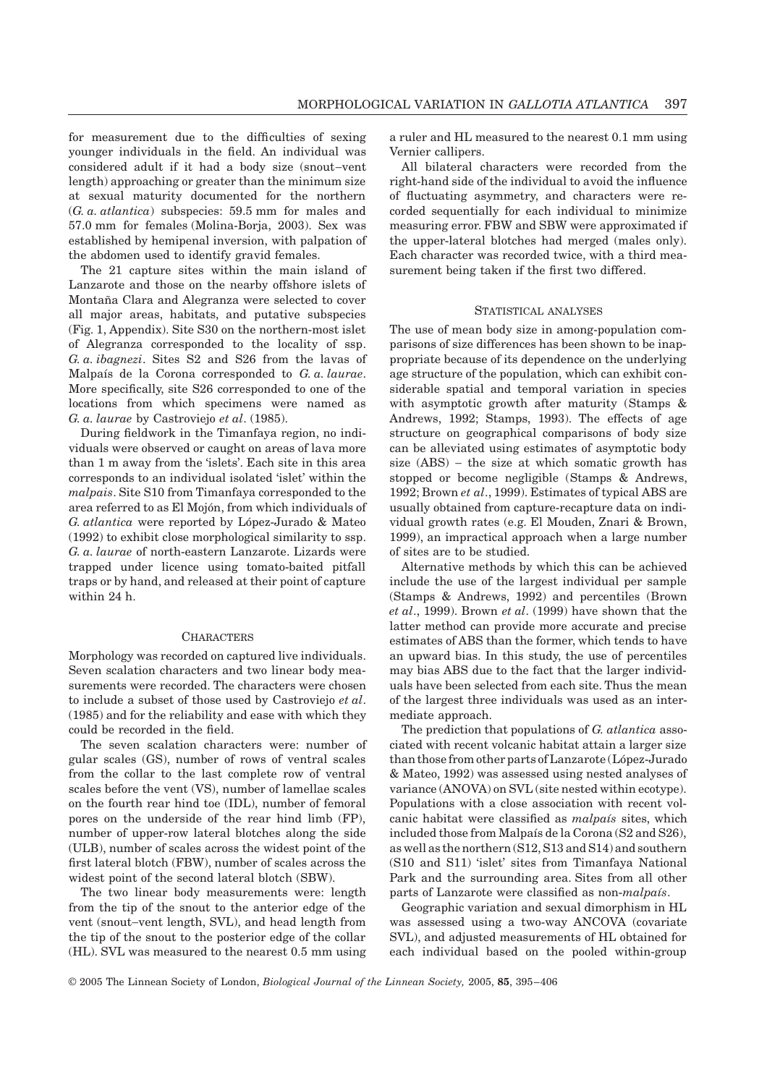for measurement due to the difficulties of sexing younger individuals in the field. An individual was considered adult if it had a body size (snout-vent length) approaching or greater than the minimum size at sexual maturity documented for the northern (*G. a. atlantica*) subspecies: 59.5 mm for males and 57.0 mm for females (Molina-Borja, 2003). Sex was established by hemipenal inversion, with palpation of the abdomen used to identify gravid females.

The 21 capture sites within the main island of Lanzarote and those on the nearby offshore islets of Montaña Clara and Alegranza were selected to cover all major areas, habitats, and putative subspecies (Fig. 1, Appendix). Site S30 on the northern-most islet of Alegranza corresponded to the locality of ssp. *G. a. ibagnezi*. Sites S2 and S26 from the lavas of Malpaís de la Corona corresponded to *G. a. laurae*. More specifically, site S26 corresponded to one of the locations from which specimens were named as *G. a. laurae* by Castroviejo *et al*. (1985).

During fieldwork in the Timanfaya region, no individuals were observed or caught on areas of lava more than 1 m away from the 'islets'. Each site in this area corresponds to an individual isolated 'islet' within the *malpais*. Site S10 from Timanfaya corresponded to the area referred to as El Mojón, from which individuals of *G. atlantica* were reported by López-Jurado & Mateo (1992) to exhibit close morphological similarity to ssp. *G. a. laurae* of north-eastern Lanzarote. Lizards were trapped under licence using tomato-baited pitfall traps or by hand, and released at their point of capture within 24 h.

#### **CHARACTERS**

Morphology was recorded on captured live individuals. Seven scalation characters and two linear body measurements were recorded. The characters were chosen to include a subset of those used by Castroviejo *et al*. (1985) and for the reliability and ease with which they could be recorded in the field.

The seven scalation characters were: number of gular scales (GS), number of rows of ventral scales from the collar to the last complete row of ventral scales before the vent (VS), number of lamellae scales on the fourth rear hind toe (IDL), number of femoral pores on the underside of the rear hind limb (FP), number of upper-row lateral blotches along the side (ULB), number of scales across the widest point of the first lateral blotch (FBW), number of scales across the widest point of the second lateral blotch (SBW).

The two linear body measurements were: length from the tip of the snout to the anterior edge of the vent (snout-vent length, SVL), and head length from the tip of the snout to the posterior edge of the collar (HL). SVL was measured to the nearest 0.5 mm using a ruler and HL measured to the nearest 0.1 mm using Vernier callipers.

All bilateral characters were recorded from the right-hand side of the individual to avoid the influence of fluctuating asymmetry, and characters were recorded sequentially for each individual to minimize measuring error. FBW and SBW were approximated if the upper-lateral blotches had merged (males only). Each character was recorded twice, with a third measurement being taken if the first two differed.

#### STATISTICAL ANALYSES

The use of mean body size in among-population comparisons of size differences has been shown to be inappropriate because of its dependence on the underlying age structure of the population, which can exhibit considerable spatial and temporal variation in species with asymptotic growth after maturity (Stamps & Andrews, 1992; Stamps, 1993). The effects of age structure on geographical comparisons of body size can be alleviated using estimates of asymptotic body size (ABS) - the size at which somatic growth has stopped or become negligible (Stamps & Andrews, 1992; Brown *et al*., 1999). Estimates of typical ABS are usually obtained from capture-recapture data on individual growth rates (e.g. El Mouden, Znari & Brown, 1999), an impractical approach when a large number of sites are to be studied.

Alternative methods by which this can be achieved include the use of the largest individual per sample (Stamps & Andrews, 1992) and percentiles (Brown *et al*., 1999). Brown *et al*. (1999) have shown that the latter method can provide more accurate and precise estimates of ABS than the former, which tends to have an upward bias. In this study, the use of percentiles may bias ABS due to the fact that the larger individuals have been selected from each site. Thus the mean of the largest three individuals was used as an intermediate approach.

The prediction that populations of *G. atlantica* associated with recent volcanic habitat attain a larger size than those from other parts of Lanzarote (López-Jurado & Mateo, 1992) was assessed using nested analyses of variance (ANOVA) on SVL (site nested within ecotype). Populations with a close association with recent volcanic habitat were classified as *malpaís* sites, which included those from Malpaís de la Corona (S2 and S26), as well as the northern (S12, S13 and S14) and southern (S10 and S11) 'islet' sites from Timanfaya National Park and the surrounding area. Sites from all other parts of Lanzarote were classified as non-*malpaís*.

Geographic variation and sexual dimorphism in HL was assessed using a two-way ANCOVA (covariate SVL), and adjusted measurements of HL obtained for each individual based on the pooled within-group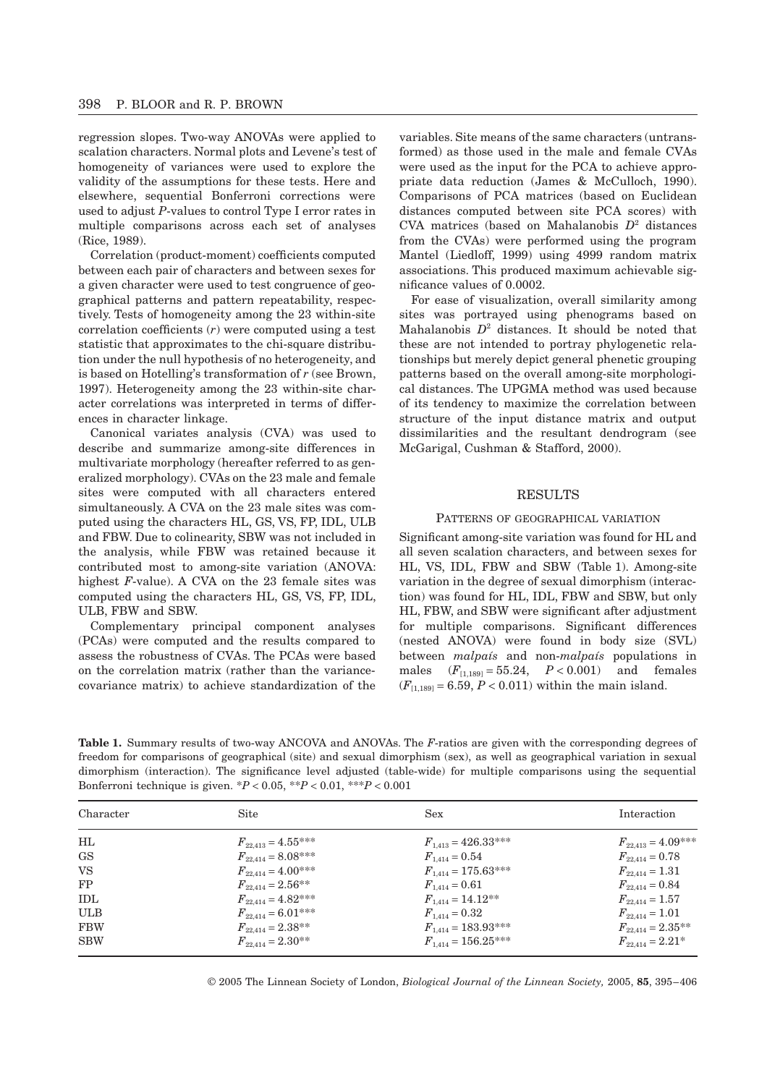regression slopes. Two-way ANOVAs were applied to scalation characters. Normal plots and Levene's test of homogeneity of variances were used to explore the validity of the assumptions for these tests. Here and elsewhere, sequential Bonferroni corrections were used to adjust *P*-values to control Type I error rates in multiple comparisons across each set of analyses (Rice, 1989).

Correlation (product-moment) coefficients computed between each pair of characters and between sexes for a given character were used to test congruence of geographical patterns and pattern repeatability, respectively. Tests of homogeneity among the 23 within-site correlation coefficients (*r*) were computed using a test statistic that approximates to the chi-square distribution under the null hypothesis of no heterogeneity, and is based on Hotelling's transformation of *r* (see Brown, 1997). Heterogeneity among the 23 within-site character correlations was interpreted in terms of differences in character linkage.

Canonical variates analysis (CVA) was used to describe and summarize among-site differences in multivariate morphology (hereafter referred to as generalized morphology). CVAs on the 23 male and female sites were computed with all characters entered simultaneously. A CVA on the 23 male sites was computed using the characters HL, GS, VS, FP, IDL, ULB and FBW. Due to colinearity, SBW was not included in the analysis, while FBW was retained because it contributed most to among-site variation (ANOVA: highest *F*-value). A CVA on the 23 female sites was computed using the characters HL, GS, VS, FP, IDL, ULB, FBW and SBW.

Complementary principal component analyses (PCAs) were computed and the results compared to assess the robustness of CVAs. The PCAs were based on the correlation matrix (rather than the variancecovariance matrix) to achieve standardization of the variables. Site means of the same characters (untransformed) as those used in the male and female CVAs were used as the input for the PCA to achieve appropriate data reduction (James & McCulloch, 1990). Comparisons of PCA matrices (based on Euclidean distances computed between site PCA scores) with CVA matrices (based on Mahalanobis *D*<sup>2</sup> distances from the CVAs) were performed using the program Mantel (Liedloff, 1999) using 4999 random matrix associations. This produced maximum achievable significance values of 0.0002.

For ease of visualization, overall similarity among sites was portrayed using phenograms based on Mahalanobis *D*<sup>2</sup> distances. It should be noted that these are not intended to portray phylogenetic relationships but merely depict general phenetic grouping patterns based on the overall among-site morphological distances. The UPGMA method was used because of its tendency to maximize the correlation between structure of the input distance matrix and output dissimilarities and the resultant dendrogram (see McGarigal, Cushman & Stafford, 2000).

#### RESULTS

#### PATTERNS OF GEOGRAPHICAL VARIATION

Significant among-site variation was found for HL and all seven scalation characters, and between sexes for HL, VS, IDL, FBW and SBW (Table 1). Among-site variation in the degree of sexual dimorphism (interaction) was found for HL, IDL, FBW and SBW, but only HL, FBW, and SBW were significant after adjustment for multiple comparisons. Significant differences (nested ANOVA) were found in body size (SVL) between *malpaís* and non-*malpaís* populations in males  $(F_{[1,189]} = 55.24, P < 0.001)$  and females  $(F_{[1,189]} = 6.59, P < 0.011)$  within the main island.

**Table 1.** Summary results of two-way ANCOVA and ANOVAs. The *F*-ratios are given with the corresponding degrees of freedom for comparisons of geographical (site) and sexual dimorphism (sex), as well as geographical variation in sexual dimorphism (interaction). The significance level adjusted (table-wide) for multiple comparisons using the sequential Bonferroni technique is given. \**P* < 0.05, \*\**P* < 0.01, \*\*\**P* < 0.001

| Character  | Site                    | <b>Sex</b>              | Interaction            |
|------------|-------------------------|-------------------------|------------------------|
| HL         | $F_{22,413} = 4.55***$  | $F_{1,413} = 426.33***$ | $F_{22,413} = 4.09***$ |
| <b>GS</b>  | $F_{22,414} = 8.08***$  | $F_{1,414} = 0.54$      | $F_{22,414} = 0.78$    |
| <b>VS</b>  | $F_{22,414} = 4.00***$  | $F_{1,414} = 175.63***$ | $F_{22.414} = 1.31$    |
| FP         | $F_{22,414} = 2.56**$   | $F_{1,414} = 0.61$      | $F_{22,414} = 0.84$    |
| IDL        | $F_{22,414} = 4.82$ *** | $F_{1,414} = 14.12**$   | $F_{22.414} = 1.57$    |
| <b>ULB</b> | $F_{22,414} = 6.01***$  | $F_{1,414} = 0.32$      | $F_{22.414} = 1.01$    |
| <b>FBW</b> | $F_{22,414} = 2.38***$  | $F_{1,414} = 183.93***$ | $F_{22,414} = 2.35***$ |
| <b>SBW</b> | $F_{22,414} = 2.30**$   | $F_{1,414} = 156.25***$ | $F_{22,414} = 2.21*$   |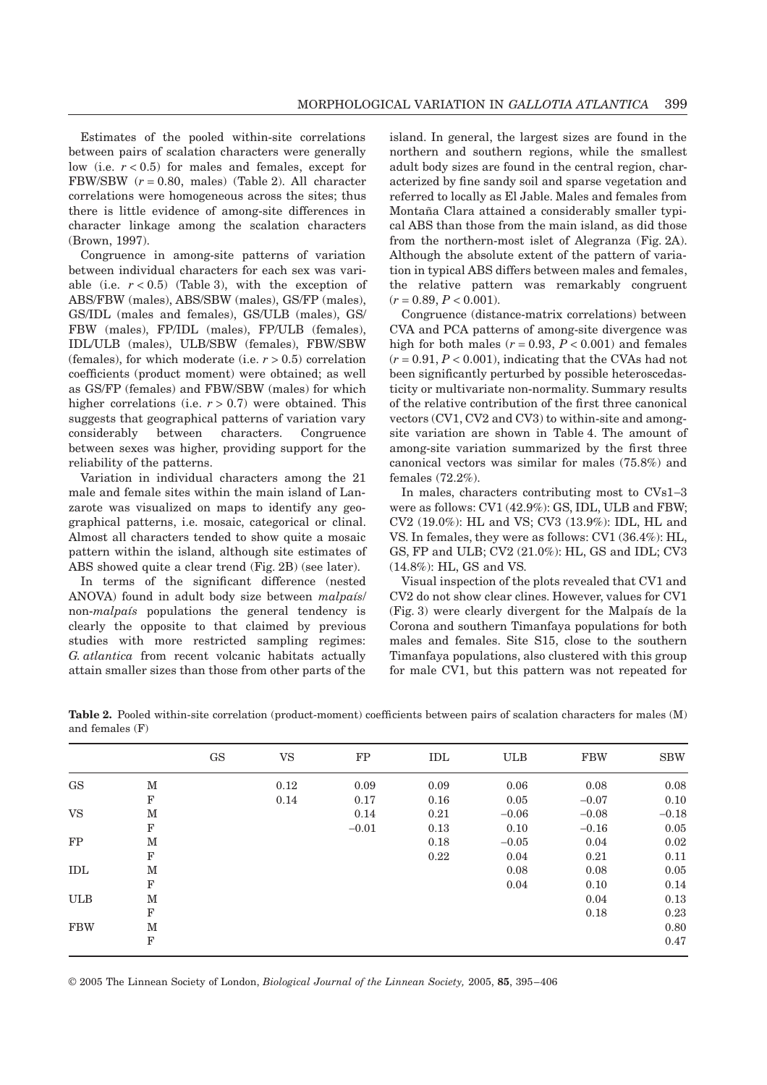Estimates of the pooled within-site correlations between pairs of scalation characters were generally low (i.e.  $r < 0.5$ ) for males and females, except for FBW/SBW  $(r = 0.80$ , males) (Table 2). All character correlations were homogeneous across the sites; thus there is little evidence of among-site differences in character linkage among the scalation characters (Brown, 1997).

Congruence in among-site patterns of variation between individual characters for each sex was variable (i.e.  $r < 0.5$ ) (Table 3), with the exception of ABS/FBW (males), ABS/SBW (males), GS/FP (males), GS/IDL (males and females), GS/ULB (males), GS/ FBW (males), FP/IDL (males), FP/ULB (females), IDL/ULB (males), ULB/SBW (females), FBW/SBW (females), for which moderate (i.e.  $r > 0.5$ ) correlation coefficients (product moment) were obtained; as well as GS/FP (females) and FBW/SBW (males) for which higher correlations (i.e.  $r > 0.7$ ) were obtained. This suggests that geographical patterns of variation vary considerably between characters. Congruence between sexes was higher, providing support for the reliability of the patterns.

Variation in individual characters among the 21 male and female sites within the main island of Lanzarote was visualized on maps to identify any geographical patterns, i.e. mosaic, categorical or clinal. Almost all characters tended to show quite a mosaic pattern within the island, although site estimates of ABS showed quite a clear trend (Fig. 2B) (see later).

In terms of the significant difference (nested ANOVA) found in adult body size between *malpaís*/ non-*malpaís* populations the general tendency is clearly the opposite to that claimed by previous studies with more restricted sampling regimes: *G. atlantica* from recent volcanic habitats actually attain smaller sizes than those from other parts of the

island. In general, the largest sizes are found in the northern and southern regions, while the smallest adult body sizes are found in the central region, characterized by fine sandy soil and sparse vegetation and referred to locally as El Jable. Males and females from Montaña Clara attained a considerably smaller typical ABS than those from the main island, as did those from the northern-most islet of Alegranza (Fig. 2A). Although the absolute extent of the pattern of variation in typical ABS differs between males and females, the relative pattern was remarkably congruent  $(r = 0.89, P < 0.001).$ 

Congruence (distance-matrix correlations) between CVA and PCA patterns of among-site divergence was high for both males  $(r = 0.93, P < 0.001)$  and females  $(r = 0.91, P < 0.001)$ , indicating that the CVAs had not been significantly perturbed by possible heteroscedasticity or multivariate non-normality. Summary results of the relative contribution of the first three canonical vectors (CV1, CV2 and CV3) to within-site and amongsite variation are shown in Table 4. The amount of among-site variation summarized by the first three canonical vectors was similar for males (75.8%) and females (72.2%).

In males, characters contributing most to CVs1-3 were as follows: CV1 (42.9%): GS, IDL, ULB and FBW; CV2 (19.0%): HL and VS; CV3 (13.9%): IDL, HL and VS. In females, they were as follows: CV1 (36.4%): HL, GS, FP and ULB; CV2 (21.0%): HL, GS and IDL; CV3 (14.8%): HL, GS and VS.

Visual inspection of the plots revealed that CV1 and CV2 do not show clear clines. However, values for CV1 (Fig. 3) were clearly divergent for the Malpaís de la Corona and southern Timanfaya populations for both males and females. Site S15, close to the southern Timanfaya populations, also clustered with this group for male CV1, but this pattern was not repeated for

|                   |  | <b>Table 2.</b> Pooled within-site correlation (product-moment) coefficients between pairs of scalation characters for males (M) |  |  |  |  |
|-------------------|--|----------------------------------------------------------------------------------------------------------------------------------|--|--|--|--|
| and females $(F)$ |  |                                                                                                                                  |  |  |  |  |

|            |             | <b>GS</b> | <b>VS</b> | FP      | IDL  | <b>ULB</b> | <b>FBW</b> | <b>SBW</b> |
|------------|-------------|-----------|-----------|---------|------|------------|------------|------------|
|            |             |           |           |         |      |            |            |            |
| <b>GS</b>  | M           |           | 0.12      | 0.09    | 0.09 | 0.06       | 0.08       | 0.08       |
|            | $\mathbf F$ |           | 0.14      | 0.17    | 0.16 | 0.05       | $-0.07$    | 0.10       |
| <b>VS</b>  | M           |           |           | 0.14    | 0.21 | $-0.06$    | $-0.08$    | $-0.18$    |
|            | $\mathbf F$ |           |           | $-0.01$ | 0.13 | 0.10       | $-0.16$    | 0.05       |
| FP         | M           |           |           |         | 0.18 | $-0.05$    | 0.04       | 0.02       |
|            | $\mathbf F$ |           |           |         | 0.22 | 0.04       | 0.21       | 0.11       |
| IDL        | M           |           |           |         |      | 0.08       | 0.08       | 0.05       |
|            | $\mathbf F$ |           |           |         |      | 0.04       | 0.10       | 0.14       |
| <b>ULB</b> | M           |           |           |         |      |            | 0.04       | 0.13       |
|            | $\mathbf F$ |           |           |         |      |            | 0.18       | 0.23       |
| <b>FBW</b> | M           |           |           |         |      |            |            | 0.80       |
|            | $\mathbf F$ |           |           |         |      |            |            | 0.47       |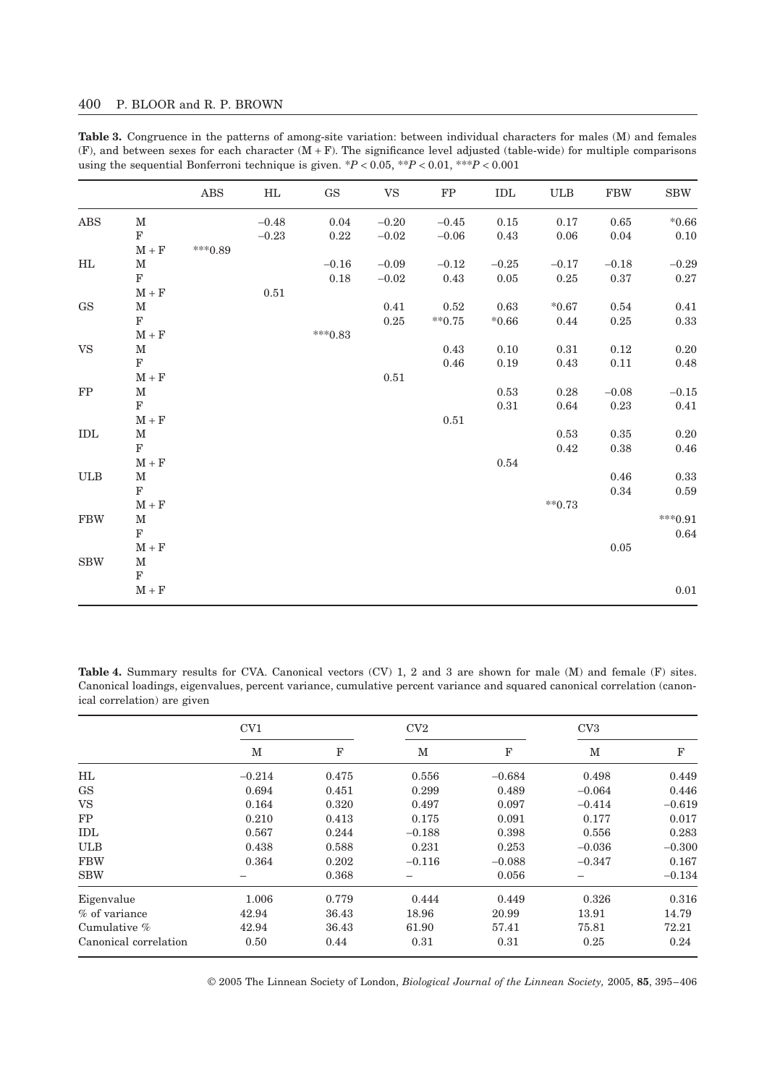|                      |                         | $\operatorname{ABS}$ | HL      | $\operatorname{GS}$ | $\operatorname{VS}$ | ${\rm FP}$ | $\mathbf{IDL}$ | $_{\rm ULB}$ | <b>FBW</b> | <b>SBW</b> |
|----------------------|-------------------------|----------------------|---------|---------------------|---------------------|------------|----------------|--------------|------------|------------|
| $\operatorname{ABS}$ | М                       |                      | $-0.48$ | 0.04                | $-0.20$             | $-0.45$    | 0.15           | 0.17         | 0.65       | $*0.66$    |
|                      | $\mathbf F$             |                      | $-0.23$ | 0.22                | $-0.02$             | $-0.06$    | 0.43           | 0.06         | 0.04       | 0.10       |
|                      | $\mathbf{M}+\mathbf{F}$ | $***0.89$            |         |                     |                     |            |                |              |            |            |
| HL                   | $\mathbf M$             |                      |         | $-0.16$             | $-0.09$             | $-0.12$    | $-0.25$        | $-0.17$      | $-0.18$    | $-0.29$    |
|                      | $\mathbf F$             |                      |         | 0.18                | $-0.02$             | 0.43       | $0.05\,$       | $0.25\,$     | $\rm 0.37$ | $0.27\,$   |
|                      | $M + F$                 |                      | 0.51    |                     |                     |            |                |              |            |            |
| GS                   | $\mathbf M$             |                      |         |                     | 0.41                | 0.52       | 0.63           | $*0.67$      | 0.54       | 0.41       |
|                      | $\mathbf F$             |                      |         |                     | $0.25\,$            | $**0.75$   | $*0.66$        | 0.44         | 0.25       | $\rm 0.33$ |
|                      | $\mathbf{M}+\mathbf{F}$ |                      |         | $***0.83$           |                     |            |                |              |            |            |
| <b>VS</b>            | $\mathbf M$             |                      |         |                     |                     | 0.43       | 0.10           | 0.31         | 0.12       | $0.20\,$   |
|                      | $\mathbf F$             |                      |         |                     |                     | 0.46       | 0.19           | 0.43         | 0.11       | $0.48\,$   |
|                      | $\mathbf{M}+\mathbf{F}$ |                      |         |                     | $0.51\,$            |            |                |              |            |            |
| ${\rm FP}$           | $\mathbf M$             |                      |         |                     |                     |            | 0.53           | 0.28         | $-0.08$    | $-0.15$    |
|                      | $\mathbf F$             |                      |         |                     |                     |            | $\rm 0.31$     | 0.64         | $0.23\,$   | 0.41       |
|                      | $\mathbf{M}+\mathbf{F}$ |                      |         |                     |                     | $0.51\,$   |                |              |            |            |
| $\mathbf{IDL}$       | $\mathbf M$             |                      |         |                     |                     |            |                | 0.53         | 0.35       | $0.20\,$   |
|                      | $\mathbf F$             |                      |         |                     |                     |            |                | $\rm 0.42$   | $\rm 0.38$ | $0.46\,$   |
|                      | $M + F$                 |                      |         |                     |                     |            | 0.54           |              |            |            |
| <b>ULB</b>           | $\mathbf M$             |                      |         |                     |                     |            |                |              | 0.46       | $\rm 0.33$ |
|                      | $\mathbf F$             |                      |         |                     |                     |            |                |              | 0.34       | $0.59\,$   |
|                      | $\mathbf{M}+\mathbf{F}$ |                      |         |                     |                     |            |                | $*$ $*0.73$  |            |            |
| <b>FBW</b>           | $\mathbf M$             |                      |         |                     |                     |            |                |              |            | $***0.91$  |
|                      | $\mathbf F$             |                      |         |                     |                     |            |                |              |            | $\,0.64\,$ |
|                      | $M + F$                 |                      |         |                     |                     |            |                |              | 0.05       |            |
| ${\bf SBW}$          | $\mathbf M$             |                      |         |                     |                     |            |                |              |            |            |
|                      | $\mathbf F$             |                      |         |                     |                     |            |                |              |            |            |
|                      | $M + F$                 |                      |         |                     |                     |            |                |              |            | $0.01\,$   |

**Table 3.** Congruence in the patterns of among-site variation: between individual characters for males (M) and females  $(F)$ , and between sexes for each character  $(M + F)$ . The significance level adjusted (table-wide) for multiple comparisons using the sequential Bonferroni technique is given.  $*P < 0.05$ ,  $**P < 0.01$ ,  $**P < 0.001$ 

**Table 4.** Summary results for CVA. Canonical vectors (CV) 1, 2 and 3 are shown for male (M) and female (F) sites. Canonical loadings, eigenvalues, percent variance, cumulative percent variance and squared canonical correlation (canonical correlation) are given

|                       | CV <sub>1</sub> |       | CV2         |             | CV <sub>3</sub>          |            |
|-----------------------|-----------------|-------|-------------|-------------|--------------------------|------------|
|                       | $\mathbf M$     | F     | $\mathbf M$ | $\mathbf F$ | M                        | $_{\rm F}$ |
| HL                    | $-0.214$        | 0.475 | 0.556       | $-0.684$    | 0.498                    | 0.449      |
| <b>GS</b>             | 0.694           | 0.451 | 0.299       | 0.489       | $-0.064$                 | 0.446      |
| <b>VS</b>             | 0.164           | 0.320 | 0.497       | 0.097       | $-0.414$                 | $-0.619$   |
| FP                    | 0.210           | 0.413 | 0.175       | 0.091       | 0.177                    | 0.017      |
| <b>IDL</b>            | 0.567           | 0.244 | $-0.188$    | 0.398       | 0.556                    | 0.283      |
| <b>ULB</b>            | 0.438           | 0.588 | 0.231       | 0.253       | $-0.036$                 | $-0.300$   |
| <b>FBW</b>            | 0.364           | 0.202 | $-0.116$    | $-0.088$    | $-0.347$                 | 0.167      |
| <b>SBW</b>            |                 | 0.368 |             | 0.056       | $\overline{\phantom{m}}$ | $-0.134$   |
| Eigenvalue            | 1.006           | 0.779 | 0.444       | 0.449       | 0.326                    | 0.316      |
| $%$ of variance       | 42.94           | 36.43 | 18.96       | 20.99       | 13.91                    | 14.79      |
| Cumulative %          | 42.94           | 36.43 | 61.90       | 57.41       | 75.81                    | 72.21      |
| Canonical correlation | 0.50            | 0.44  | 0.31        | 0.31        | 0.25                     | 0.24       |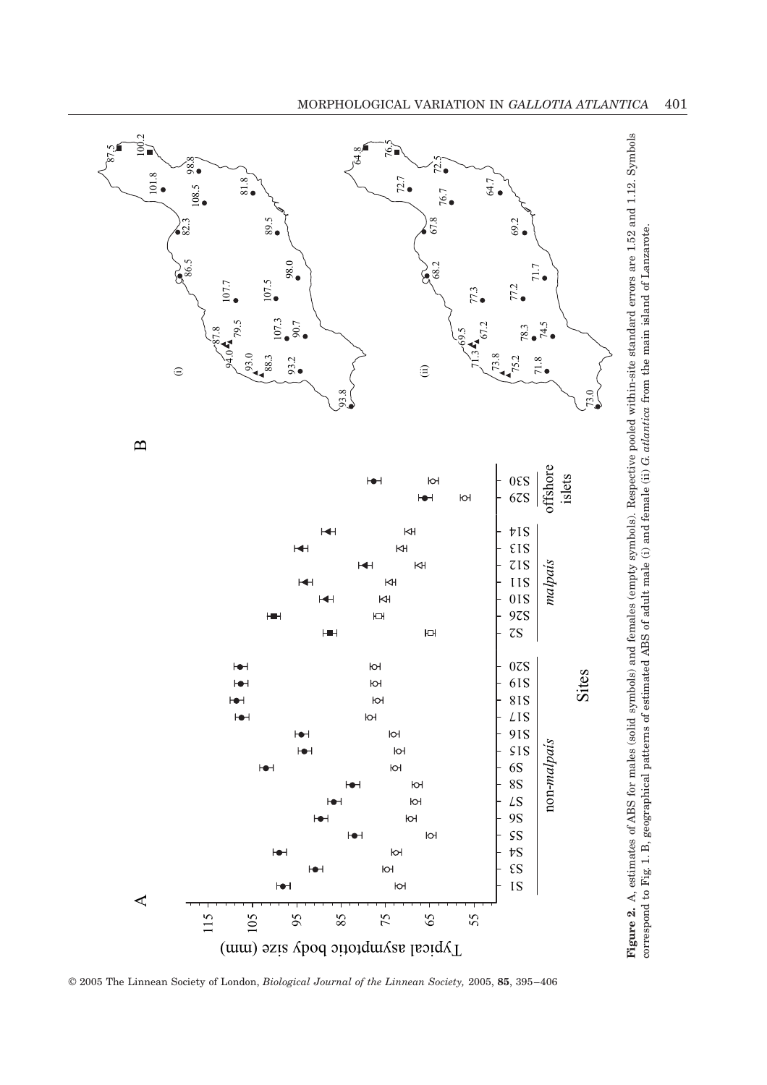



© 2005 The Linnean Society of London, *Biological Journal of the Linnean Society,* 2005, **85**, 395–406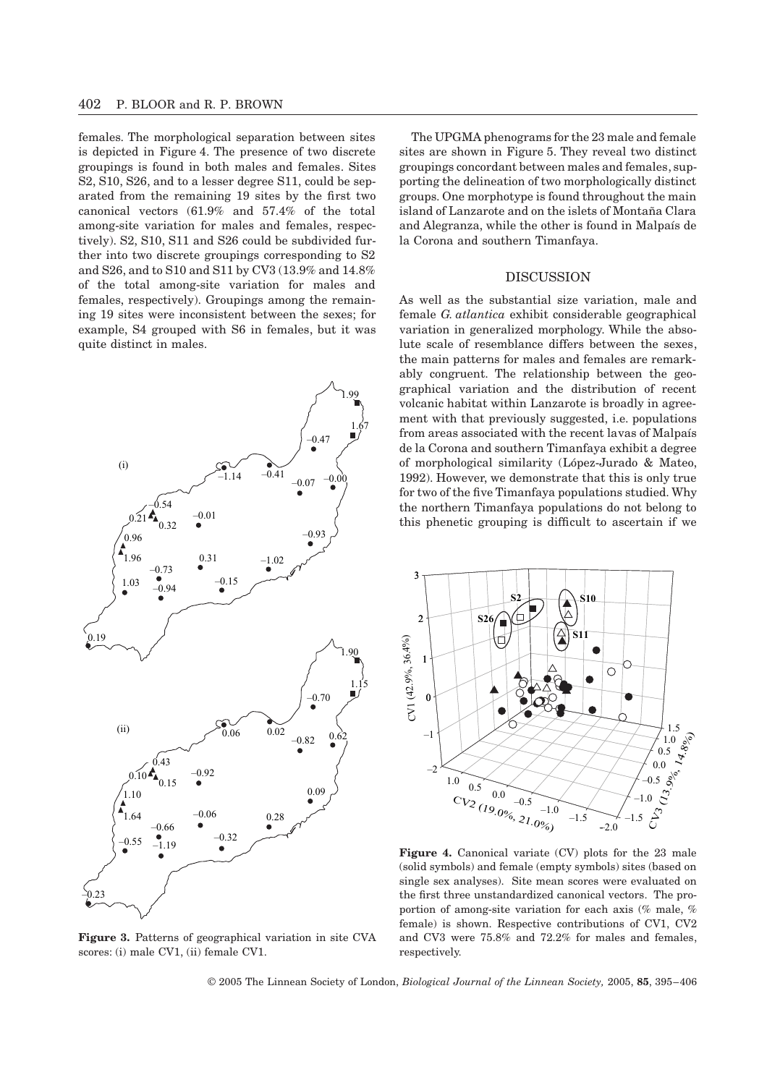females. The morphological separation between sites is depicted in Figure 4. The presence of two discrete groupings is found in both males and females. Sites S2, S10, S26, and to a lesser degree S11, could be separated from the remaining 19 sites by the first two canonical vectors (61.9% and 57.4% of the total among-site variation for males and females, respectively). S2, S10, S11 and S26 could be subdivided further into two discrete groupings corresponding to S2 and S26, and to S10 and S11 by CV3 (13.9% and 14.8% of the total among-site variation for males and females, respectively). Groupings among the remaining 19 sites were inconsistent between the sexes; for example, S4 grouped with S6 in females, but it was quite distinct in males.



**Figure 3.** Patterns of geographical variation in site CVA scores: (i) male CV1, (ii) female CV1.

The UPGMA phenograms for the 23 male and female sites are shown in Figure 5. They reveal two distinct groupings concordant between males and females, supporting the delineation of two morphologically distinct groups. One morphotype is found throughout the main island of Lanzarote and on the islets of Montaña Clara and Alegranza, while the other is found in Malpaís de la Corona and southern Timanfaya.

#### DISCUSSION

As well as the substantial size variation, male and female *G. atlantica* exhibit considerable geographical variation in generalized morphology. While the absolute scale of resemblance differs between the sexes, the main patterns for males and females are remarkably congruent. The relationship between the geographical variation and the distribution of recent volcanic habitat within Lanzarote is broadly in agreement with that previously suggested, i.e. populations from areas associated with the recent lavas of Malpaís de la Corona and southern Timanfaya exhibit a degree of morphological similarity (López-Jurado & Mateo, 1992). However, we demonstrate that this is only true for two of the five Timanfaya populations studied. Why the northern Timanfaya populations do not belong to this phenetic grouping is difficult to ascertain if we



**Figure 4.** Canonical variate (CV) plots for the 23 male (solid symbols) and female (empty symbols) sites (based on single sex analyses). Site mean scores were evaluated on the first three unstandardized canonical vectors. The proportion of among-site variation for each axis (% male, % female) is shown. Respective contributions of CV1, CV2 and CV3 were 75.8% and 72.2% for males and females, respectively.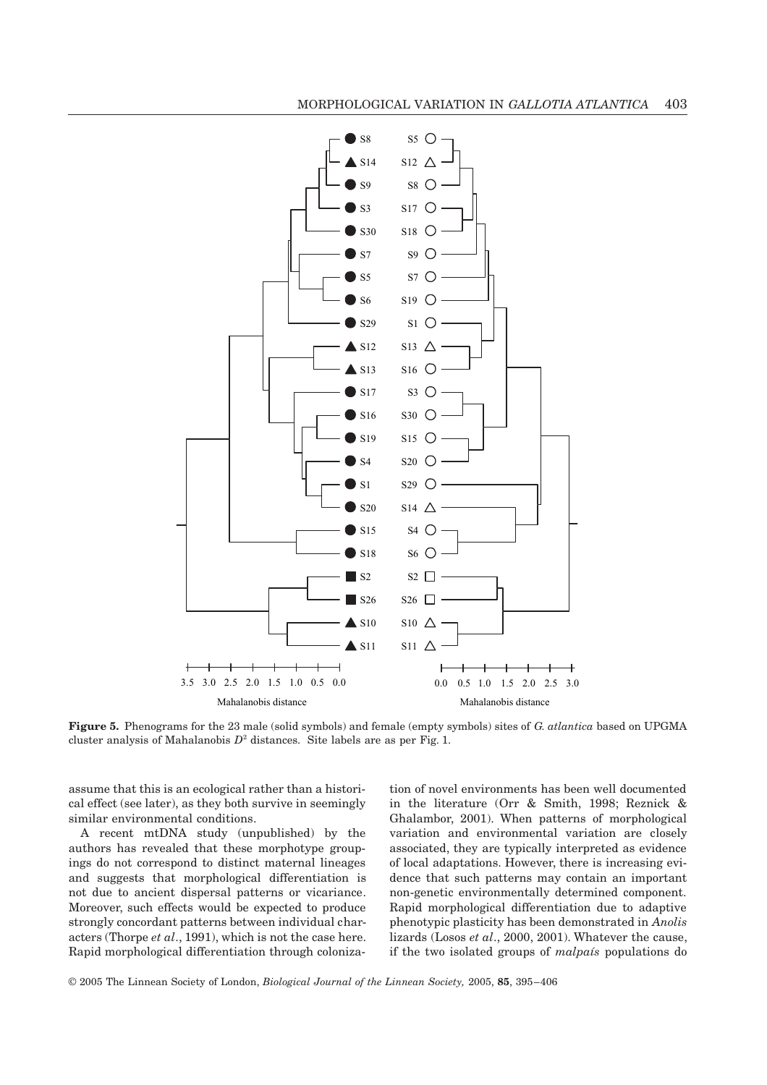

**Figure 5.** Phenograms for the 23 male (solid symbols) and female (empty symbols) sites of *G. atlantica* based on UPGMA cluster analysis of Mahalanobis  $D^2$  distances. Site labels are as per Fig. 1.

assume that this is an ecological rather than a historical effect (see later), as they both survive in seemingly similar environmental conditions.

A recent mtDNA study (unpublished) by the authors has revealed that these morphotype groupings do not correspond to distinct maternal lineages and suggests that morphological differentiation is not due to ancient dispersal patterns or vicariance. Moreover, such effects would be expected to produce strongly concordant patterns between individual characters (Thorpe *et al*., 1991), which is not the case here. Rapid morphological differentiation through colonization of novel environments has been well documented in the literature (Orr & Smith, 1998; Reznick & Ghalambor, 2001). When patterns of morphological variation and environmental variation are closely associated, they are typically interpreted as evidence of local adaptations. However, there is increasing evidence that such patterns may contain an important non-genetic environmentally determined component. Rapid morphological differentiation due to adaptive phenotypic plasticity has been demonstrated in *Anolis* lizards (Losos *et al*., 2000, 2001). Whatever the cause, if the two isolated groups of *malpaís* populations do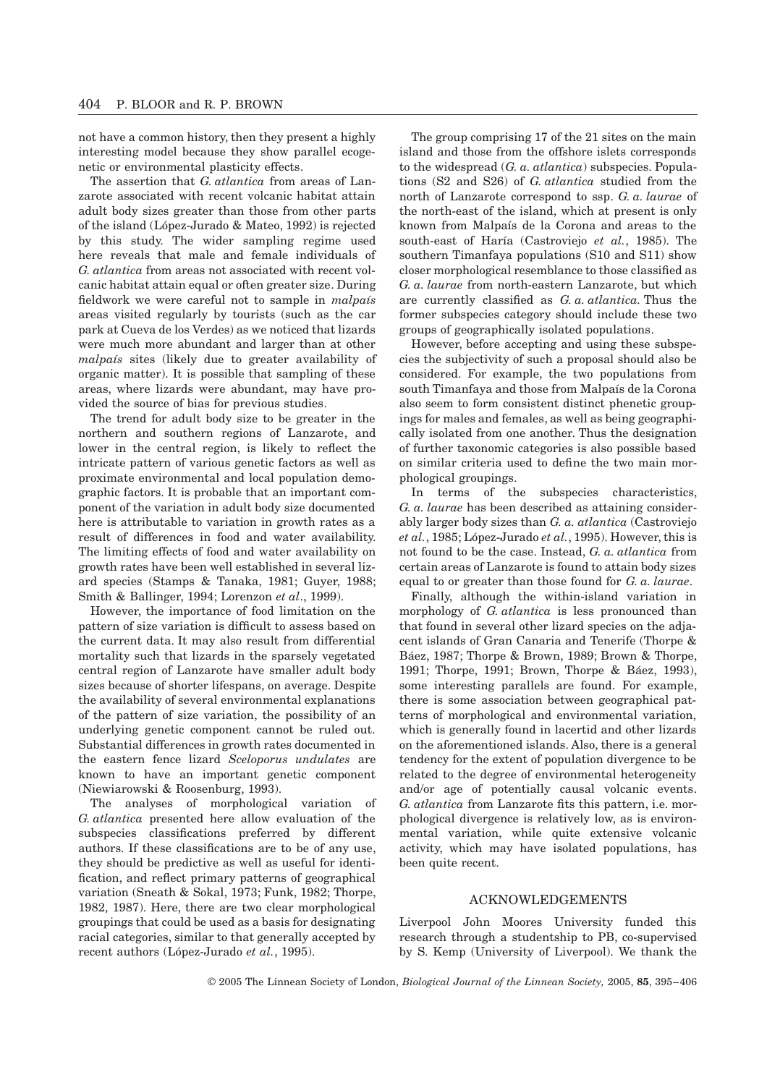not have a common history, then they present a highly interesting model because they show parallel ecogenetic or environmental plasticity effects.

The assertion that *G. atlantica* from areas of Lanzarote associated with recent volcanic habitat attain adult body sizes greater than those from other parts of the island (López-Jurado & Mateo, 1992) is rejected by this study. The wider sampling regime used here reveals that male and female individuals of *G. atlantica* from areas not associated with recent volcanic habitat attain equal or often greater size. During fieldwork we were careful not to sample in *malpaís* areas visited regularly by tourists (such as the car park at Cueva de los Verdes) as we noticed that lizards were much more abundant and larger than at other *malpaís* sites (likely due to greater availability of organic matter). It is possible that sampling of these areas, where lizards were abundant, may have provided the source of bias for previous studies.

The trend for adult body size to be greater in the northern and southern regions of Lanzarote, and lower in the central region, is likely to reflect the intricate pattern of various genetic factors as well as proximate environmental and local population demographic factors. It is probable that an important component of the variation in adult body size documented here is attributable to variation in growth rates as a result of differences in food and water availability. The limiting effects of food and water availability on growth rates have been well established in several lizard species (Stamps & Tanaka, 1981; Guyer, 1988; Smith & Ballinger, 1994; Lorenzon *et al*., 1999).

However, the importance of food limitation on the pattern of size variation is difficult to assess based on the current data. It may also result from differential mortality such that lizards in the sparsely vegetated central region of Lanzarote have smaller adult body sizes because of shorter lifespans, on average. Despite the availability of several environmental explanations of the pattern of size variation, the possibility of an underlying genetic component cannot be ruled out. Substantial differences in growth rates documented in the eastern fence lizard *Sceloporus undulates* are known to have an important genetic component (Niewiarowski & Roosenburg, 1993).

The analyses of morphological variation of *G. atlantica* presented here allow evaluation of the subspecies classifications preferred by different authors. If these classifications are to be of any use, they should be predictive as well as useful for identification, and reflect primary patterns of geographical variation (Sneath & Sokal, 1973; Funk, 1982; Thorpe, 1982, 1987). Here, there are two clear morphological groupings that could be used as a basis for designating racial categories, similar to that generally accepted by recent authors (López-Jurado *et al.*, 1995).

The group comprising 17 of the 21 sites on the main island and those from the offshore islets corresponds to the widespread (*G. a. atlantica*) subspecies. Populations (S2 and S26) of *G. atlantica* studied from the north of Lanzarote correspond to ssp. *G. a. laurae* of the north-east of the island, which at present is only known from Malpaís de la Corona and areas to the south-east of Haría (Castroviejo *et al.*, 1985). The southern Timanfaya populations (S10 and S11) show closer morphological resemblance to those classified as *G. a. laurae* from north-eastern Lanzarote, but which are currently classified as *G. a. atlantica.* Thus the former subspecies category should include these two groups of geographically isolated populations.

However, before accepting and using these subspecies the subjectivity of such a proposal should also be considered. For example, the two populations from south Timanfaya and those from Malpaís de la Corona also seem to form consistent distinct phenetic groupings for males and females, as well as being geographically isolated from one another. Thus the designation of further taxonomic categories is also possible based on similar criteria used to define the two main morphological groupings.

In terms of the subspecies characteristics, *G. a. laurae* has been described as attaining considerably larger body sizes than *G. a. atlantica* (Castroviejo *et al.*, 1985; López-Jurado *et al.*, 1995). However, this is not found to be the case. Instead, *G. a. atlantica* from certain areas of Lanzarote is found to attain body sizes equal to or greater than those found for *G. a. laurae*.

Finally, although the within-island variation in morphology of *G. atlantica* is less pronounced than that found in several other lizard species on the adjacent islands of Gran Canaria and Tenerife (Thorpe & Báez, 1987; Thorpe & Brown, 1989; Brown & Thorpe, 1991; Thorpe, 1991; Brown, Thorpe & Báez, 1993), some interesting parallels are found. For example, there is some association between geographical patterns of morphological and environmental variation, which is generally found in lacertid and other lizards on the aforementioned islands. Also, there is a general tendency for the extent of population divergence to be related to the degree of environmental heterogeneity and/or age of potentially causal volcanic events. *G. atlantica* from Lanzarote fits this pattern, i.e. morphological divergence is relatively low, as is environmental variation, while quite extensive volcanic activity, which may have isolated populations, has been quite recent.

# ACKNOWLEDGEMENTS

Liverpool John Moores University funded this research through a studentship to PB, co-supervised by S. Kemp (University of Liverpool). We thank the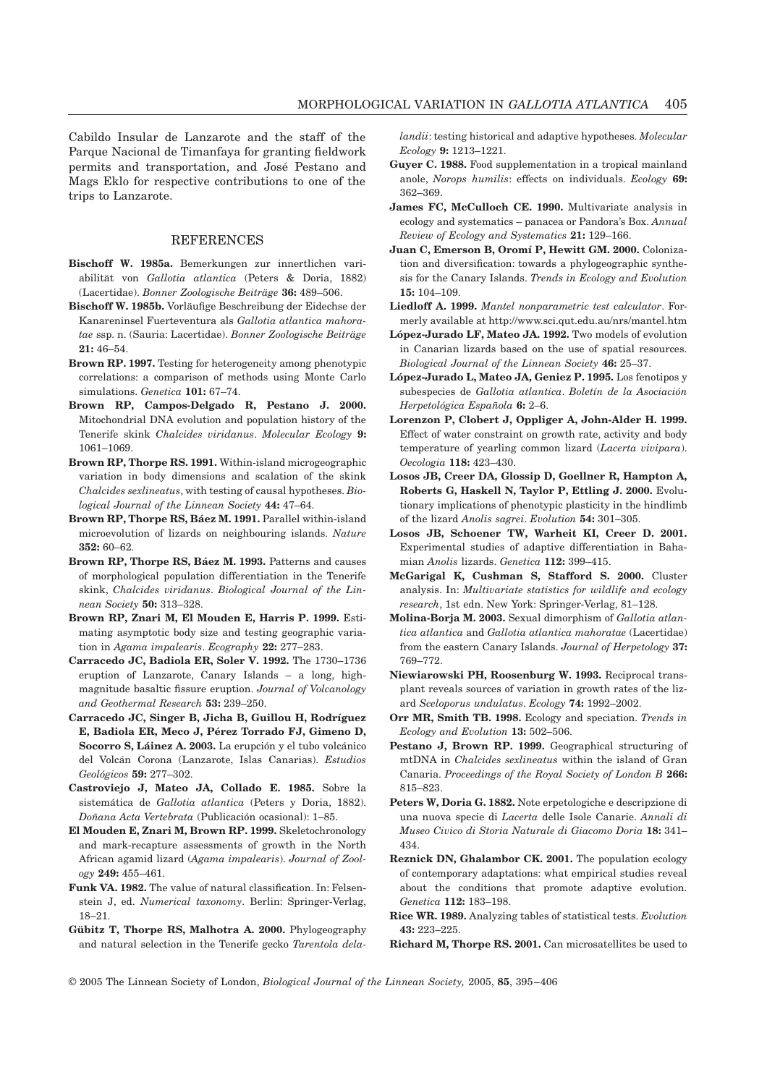Cabildo Insular de Lanzarote and the staff of the Parque Nacional de Timanfaya for granting fieldwork permits and transportation, and José Pestano and Mags Eklo for respective contributions to one of the trips to Lanzarote.

# **REFERENCES**

- **Bischoff W. 1985a.** Bemerkungen zur innertlichen variabilität von *Gallotia atlantica* (Peters & Doria, 1882) (Lacertidae). *Bonner Zoologische Beiträge* **36:** 489–506.
- **Bischoff W. 1985b.** Vorläufige Beschreibung der Eidechse der Kanareninsel Fuerteventura als *Gallotia atlantica mahoratae* ssp. n. (Sauria: Lacertidae). *Bonner Zoologische Beiträge* **21:** 46–54.
- **Brown RP. 1997.** Testing for heterogeneity among phenotypic correlations: a comparison of methods using Monte Carlo simulations. *Genetica* **101:** 67–74.
- **Brown RP, Campos-Delgado R, Pestano J. 2000.** Mitochondrial DNA evolution and population history of the Tenerife skink *Chalcides viridanus*. *Molecular Ecology* **9:** 1061–1069.
- **Brown RP, Thorpe RS. 1991.** Within-island microgeographic variation in body dimensions and scalation of the skink *Chalcides sexlineatus*, with testing of causal hypotheses. *Biological Journal of the Linnean Society* **44:** 47–64.
- **Brown RP, Thorpe RS, Báez M, 1991.** Parallel within-island microevolution of lizards on neighbouring islands. *Nature* **352:** 60–62.
- **Brown RP, Thorpe RS, Báez M. 1993.** Patterns and causes of morphological population differentiation in the Tenerife skink, *Chalcides viridanus*. *Biological Journal of the Linnean Society* **50:** 313–328.
- **Brown RP, Znari M, El Mouden E, Harris P. 1999.** Estimating asymptotic body size and testing geographic variation in *Agama impalearis*. *Ecography* **22:** 277–283.
- **Carracedo JC, Badiola ER, Soler V. 1992.** The 1730–1736 eruption of Lanzarote, Canary Islands – a long, highmagnitude basaltic fissure eruption. *Journal of Volcanology and Geothermal Research* **53:** 239–250.
- **Carracedo JC, Singer B, Jicha B, Guillou H, Rodríguez E, Badiola ER, Meco J, Pérez Torrado FJ, Gimeno D, Socorro S, Láinez A. 2003.** La erupción y el tubo volcánico del Volcán Corona (Lanzarote, Islas Canarias). *Estudios Geológicos* **59:** 277–302.
- **Castroviejo J, Mateo JA, Collado E. 1985.** Sobre la sistemática de *Gallotia atlantica* (Peters y Doria, 1882). *Doñana Acta Vertebrata* (Publicación ocasional): 1–85.
- **El Mouden E, Znari M, Brown RP. 1999.** Skeletochronology and mark-recapture assessments of growth in the North African agamid lizard (*Agama impalearis*). *Journal of Zoology* **249:** 455–461.
- **Funk VA. 1982.** The value of natural classification. In: Felsenstein J, ed. *Numerical taxonomy*. Berlin: Springer-Verlag, 18–21.
- **Gübitz T, Thorpe RS, Malhotra A. 2000.** Phylogeography and natural selection in the Tenerife gecko *Tarentola dela-*

*landii*: testing historical and adaptive hypotheses. *Molecular Ecology* **9:** 1213–1221.

- **Guyer C. 1988.** Food supplementation in a tropical mainland anole, *Norops humilis*: effects on individuals. *Ecology* **69:** 362–369.
- **James FC, McCulloch CE. 1990.** Multivariate analysis in ecology and systematics – panacea or Pandora's Box. *Annual Review of Ecology and Systematics* **21:** 129–166.
- **Juan C, Emerson B, Oromí P, Hewitt GM. 2000.** Colonization and diversification: towards a phylogeographic synthesis for the Canary Islands. *Trends in Ecology and Evolution* **15:** 104–109.
- **Liedloff A. 1999.** *Mantel nonparametric test calculator*. Formerly available at<http://www.sci.qut.edu.au/nrs/mantel.htm>
- **López-Jurado LF, Mateo JA. 1992.** Two models of evolution in Canarian lizards based on the use of spatial resources. *Biological Journal of the Linnean Society* **46:** 25–37.
- **López-Jurado L, Mateo JA, Geniez P. 1995.** Los fenotipos y subespecies de *Gallotia atlantica*. *Boletín de la Asociación Herpetológica Española* **6:** 2–6.
- **Lorenzon P, Clobert J, Oppliger A, John-Alder H. 1999.** Effect of water constraint on growth rate, activity and body temperature of yearling common lizard (*Lacerta vivipara*). *Oecologia* **118:** 423–430.
- **Losos JB, Creer DA, Glossip D, Goellner R, Hampton A, Roberts G, Haskell N, Taylor P, Ettling J. 2000.** Evolutionary implications of phenotypic plasticity in the hindlimb of the lizard *Anolis sagrei*. *Evolution* **54:** 301–305.
- **Losos JB, Schoener TW, Warheit KI, Creer D. 2001.** Experimental studies of adaptive differentiation in Bahamian *Anolis* lizards. *Genetica* **112:** 399–415.
- **McGarigal K, Cushman S, Stafford S. 2000.** Cluster analysis. In: *Multivariate statistics for wildlife and ecology research*, 1st edn. New York: Springer-Verlag, 81–128.
- **Molina-Borja M. 2003.** Sexual dimorphism of *Gallotia atlantica atlantica* and *Gallotia atlantica mahoratae* (Lacertidae) from the eastern Canary Islands. *Journal of Herpetology* **37:** 769–772.
- **Niewiarowski PH, Roosenburg W. 1993.** Reciprocal transplant reveals sources of variation in growth rates of the lizard *Sceloporus undulatus*. *Ecology* **74:** 1992–2002.
- **Orr MR, Smith TB. 1998.** Ecology and speciation. *Trends in Ecology and Evolution* **13:** 502–506.
- Pestano J, Brown RP. 1999. Geographical structuring of mtDNA in *Chalcides sexlineatus* within the island of Gran Canaria. *Proceedings of the Royal Society of London B* **266:** 815–823.
- **Peters W, Doria G. 1882.** Note erpetologiche e descripzione di una nuova specie di *Lacerta* delle Isole Canarie. *Annali di Museo Civico di Storia Naturale di Giacomo Doria* **18:** 341– 434.
- Reznick DN, Ghalambor CK. 2001. The population ecology of contemporary adaptations: what empirical studies reveal about the conditions that promote adaptive evolution. *Genetica* **112:** 183–198.
- **Rice WR. 1989.** Analyzing tables of statistical tests. *Evolution* **43:** 223–225.
- **Richard M, Thorpe RS. 2001.** Can microsatellites be used to